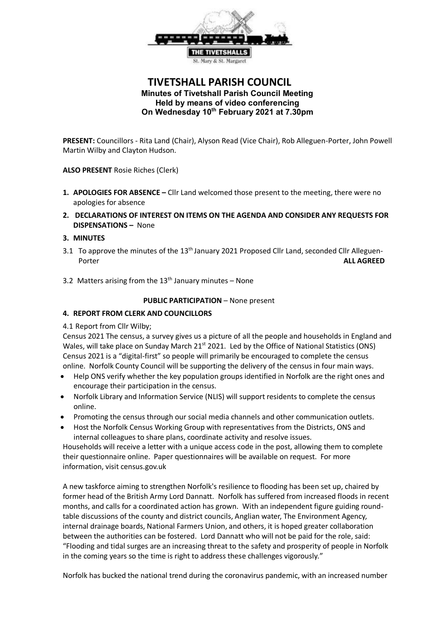

# **TIVETSHALL PARISH COUNCIL Minutes of Tivetshall Parish Council Meeting Held by means of video conferencing On Wednesday 10th February 2021 at 7.30pm**

**PRESENT:** Councillors - Rita Land (Chair), Alyson Read (Vice Chair), Rob Alleguen-Porter, John Powell Martin Wilby and Clayton Hudson.

**ALSO PRESENT** Rosie Riches (Clerk)

- **1. APOLOGIES FOR ABSENCE –** Cllr Land welcomed those present to the meeting, there were no apologies for absence
- **2. DECLARATIONS OF INTEREST ON ITEMS ON THE AGENDA AND CONSIDER ANY REQUESTS FOR DISPENSATIONS –** None

#### **3. MINUTES**

- 3.1 To approve the minutes of the 13<sup>th</sup> January 2021 Proposed Cllr Land, seconded Cllr Alleguen-Porter **ALL AGREED**
- 3.2 Matters arising from the  $13<sup>th</sup>$  January minutes None

#### **PUBLIC PARTICIPATION** – None present

#### **4. REPORT FROM CLERK AND COUNCILLORS**

4.1 Report from Cllr Wilby;

Census 2021 The census, a survey gives us a picture of all the people and households in England and Wales, will take place on Sunday March 21 $st$  2021. Led by the Office of National Statistics (ONS) Census 2021 is a "digital-first" so people will primarily be encouraged to complete the census online. Norfolk County Council will be supporting the delivery of the census in four main ways.

- Help ONS verify whether the key population groups identified in Norfolk are the right ones and encourage their participation in the census.
- Norfolk Library and Information Service (NLIS) will support residents to complete the census online.
- Promoting the census through our social media channels and other communication outlets.
- Host the Norfolk Census Working Group with representatives from the Districts, ONS and internal colleagues to share plans, coordinate activity and resolve issues.

Households will receive a letter with a unique access code in the post, allowing them to complete their questionnaire online. Paper questionnaires will be available on request. For more information, visit census.gov.uk

A new taskforce aiming to strengthen Norfolk's resilience to flooding has been set up, chaired by former head of the British Army Lord Dannatt. Norfolk has suffered from increased floods in recent months, and calls for a coordinated action has grown. With an independent figure guiding roundtable discussions of the county and district councils, Anglian water, The Environment Agency, internal drainage boards, National Farmers Union, and others, it is hoped greater collaboration between the authorities can be fostered. Lord Dannatt who will not be paid for the role, said: "Flooding and tidal surges are an increasing threat to the safety and prosperity of people in Norfolk in the coming years so the time is right to address these challenges vigorously."

Norfolk has bucked the national trend during the coronavirus pandemic, with an increased number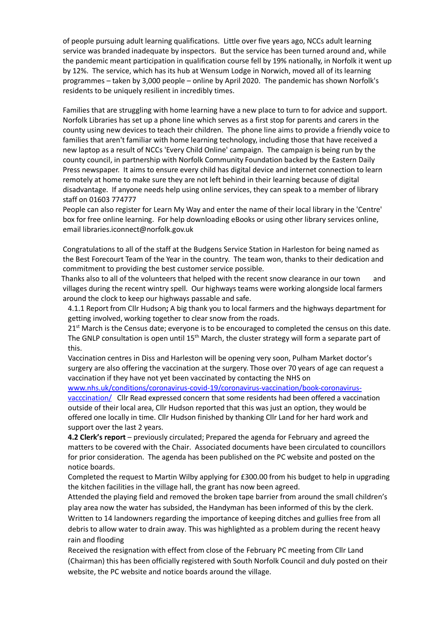of people pursuing adult learning qualifications. Little over five years ago, NCCs adult learning service was branded inadequate by inspectors. But the service has been turned around and, while the pandemic meant participation in qualification course fell by 19% nationally, in Norfolk it went up by 12%. The service, which has its hub at Wensum Lodge in Norwich, moved all of its learning programmes – taken by 3,000 people – online by April 2020. The pandemic has shown Norfolk's residents to be uniquely resilient in incredibly times.

Families that are struggling with home learning have a new place to turn to for advice and support. Norfolk Libraries has set up a phone line which serves as a first stop for parents and carers in the county using new devices to teach their children. The phone line aims to provide a friendly voice to families that aren't familiar with home learning technology, including those that have received a new laptop as a result of NCCs 'Every Child Online' campaign. The campaign is being run by the county council, in partnership with Norfolk Community Foundation backed by the Eastern Daily Press newspaper. It aims to ensure every child has digital device and internet connection to learn remotely at home to make sure they are not left behind in their learning because of digital disadvantage. If anyone needs help using online services, they can speak to a member of library staff on 01603 774777

People can also register for Learn My Way and enter the name of their local library in the 'Centre' box for free online learning. For help downloading eBooks or using other library services online, email [libraries.iconnect@norfolk.gov.uk](mailto:libraeies.iconnect@norfolk.gov.uk)

Congratulations to all of the staff at the Budgens Service Station in Harleston for being named as the Best Forecourt Team of the Year in the country. The team won, thanks to their dedication and commitment to providing the best customer service possible.

 Thanks also to all of the volunteers that helped with the recent snow clearance in our town and villages during the recent wintry spell. Our highways teams were working alongside local farmers around the clock to keep our highways passable and safe.

4.1.1 Report from Cllr Hudson**;** A big thank you to local farmers and the highways department for getting involved, working together to clear snow from the roads.

 $21<sup>st</sup>$  March is the Census date; everyone is to be encouraged to completed the census on this date. The GNLP consultation is open until  $15<sup>th</sup>$  March, the cluster strategy will form a separate part of this.

Vaccination centres in Diss and Harleston will be opening very soon, Pulham Market doctor's surgery are also offering the vaccination at the surgery. Those over 70 years of age can request a vaccination if they have not yet been vaccinated by contacting the NHS on

[www.nhs.uk/conditions/coronavirus-covid-19/coronavirus-vaccination/book-coronavirus](http://www.nhs.uk/conditions/coronavirus-covid-19/coronavirus-vaccination/book-coronavirus-vacccination/)[vacccination/](http://www.nhs.uk/conditions/coronavirus-covid-19/coronavirus-vaccination/book-coronavirus-vacccination/) Cllr Read expressed concern that some residents had been offered a vaccination outside of their local area, Cllr Hudson reported that this was just an option, they would be offered one locally in time. Cllr Hudson finished by thanking Cllr Land for her hard work and support over the last 2 years.

**4.2 Clerk's report** – previously circulated; Prepared the agenda for February and agreed the matters to be covered with the Chair. Associated documents have been circulated to councillors for prior consideration. The agenda has been published on the PC website and posted on the notice boards.

Completed the request to Martin Wilby applying for £300.00 from his budget to help in upgrading the kitchen facilities in the village hall, the grant has now been agreed.

Attended the playing field and removed the broken tape barrier from around the small children's play area now the water has subsided, the Handyman has been informed of this by the clerk. Written to 14 landowners regarding the importance of keeping ditches and gullies free from all debris to allow water to drain away. This was highlighted as a problem during the recent heavy rain and flooding

Received the resignation with effect from close of the February PC meeting from Cllr Land (Chairman) this has been officially registered with South Norfolk Council and duly posted on their website, the PC website and notice boards around the village.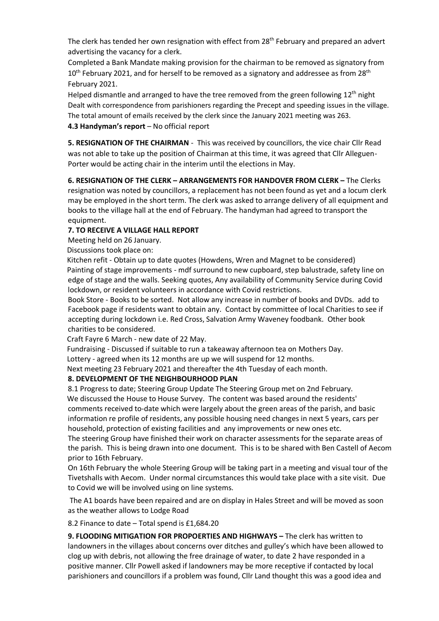The clerk has tended her own resignation with effect from  $28<sup>th</sup>$  February and prepared an advert advertising the vacancy for a clerk.

Completed a Bank Mandate making provision for the chairman to be removed as signatory from  $10<sup>th</sup>$  February 2021, and for herself to be removed as a signatory and addressee as from 28<sup>th</sup> February 2021.

Helped dismantle and arranged to have the tree removed from the green following  $12<sup>th</sup>$  night Dealt with correspondence from parishioners regarding the Precept and speeding issues in the village. The total amount of emails received by the clerk since the January 2021 meeting was 263. **4.3 Handyman's report** – No official report

**5. RESIGNATION OF THE CHAIRMAN** - This was received by councillors, the vice chair Cllr Read was not able to take up the position of Chairman at this time, it was agreed that Cllr Alleguen-Porter would be acting chair in the interim until the elections in May.

**6. RESIGNATION OF THE CLERK – ARRANGEMENTS FOR HANDOVER FROM CLERK –** The Clerks resignation was noted by councillors, a replacement has not been found as yet and a locum clerk may be employed in the short term. The clerk was asked to arrange delivery of all equipment and books to the village hall at the end of February. The handyman had agreed to transport the equipment.

# **7. TO RECEIVE A VILLAGE HALL REPORT**

Meeting held on 26 January.

Discussions took place on:

 Kitchen refit - Obtain up to date quotes (Howdens, Wren and Magnet to be considered) Painting of stage improvements - mdf surround to new cupboard, step balustrade, safety line on edge of stage and the walls. Seeking quotes, Any availability of Community Service during Covid lockdown, or resident volunteers in accordance with Covid restrictions.

Book Store - Books to be sorted. Not allow any increase in number of books and DVDs. add to Facebook page if residents want to obtain any. Contact by committee of local Charities to see if accepting during lockdown i.e. Red Cross, Salvation Army Waveney foodbank. Other book charities to be considered.

Craft Fayre 6 March - new date of 22 May.

 Fundraising - Discussed if suitable to run a takeaway afternoon tea on Mothers Day. Lottery - agreed when its 12 months are up we will suspend for 12 months.

Next meeting 23 February 2021 and thereafter the 4th Tuesday of each month.

# **8. DEVELOPMENT OF THE NEIGHBOURHOOD PLAN**

8.1 Progress to date; Steering Group Update The Steering Group met on 2nd February. We discussed the House to House Survey. The content was based around the residents' comments received to-date which were largely about the green areas of the parish, and basic information re profile of residents, any possible housing need changes in next 5 years, cars per household, protection of existing facilities and any improvements or new ones etc.

The steering Group have finished their work on character assessments for the separate areas of the parish. This is being drawn into one document. This is to be shared with Ben Castell of Aecom prior to 16th February.

On 16th February the whole Steering Group will be taking part in a meeting and visual tour of the Tivetshalls with Aecom. Under normal circumstances this would take place with a site visit. Due to Covid we will be involved using on line systems.

The A1 boards have been repaired and are on display in Hales Street and will be moved as soon as the weather allows to Lodge Road

8.2 Finance to date – Total spend is £1,684.20

**9. FLOODING MITIGATION FOR PROPOERTIES AND HIGHWAYS - The clerk has written to** landowners in the villages about concerns over ditches and gulley's which have been allowed to clog up with debris, not allowing the free drainage of water, to date 2 have responded in a positive manner. Cllr Powell asked if landowners may be more receptive if contacted by local parishioners and councillors if a problem was found, Cllr Land thought this was a good idea and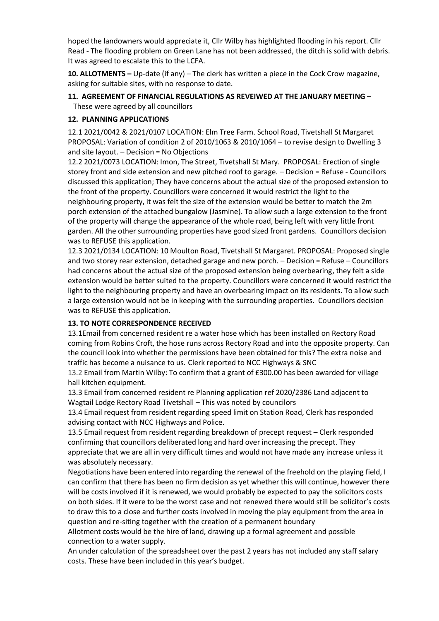hoped the landowners would appreciate it, Cllr Wilby has highlighted flooding in his report. Cllr Read - The flooding problem on Green Lane has not been addressed, the ditch is solid with debris. It was agreed to escalate this to the LCFA.

**10. ALLOTMENTS –** Up-date (if any) – The clerk has written a piece in the Cock Crow magazine, asking for suitable sites, with no response to date.

#### **11. AGREEMENT OF FINANCIAL REGULATIONS AS REVEIWED AT THE JANUARY MEETING –** These were agreed by all councillors

### **12. PLANNING APPLICATIONS**

12.1 2021/0042 & 2021/0107 LOCATION: Elm Tree Farm. School Road, Tivetshall St Margaret PROPOSAL: Variation of condition 2 of 2010/1063 & 2010/1064 – to revise design to Dwelling 3 and site layout. – Decision = No Objections

12.2 2021/0073 LOCATION: Imon, The Street, Tivetshall St Mary. PROPOSAL: Erection of single storey front and side extension and new pitched roof to garage. – Decision = Refuse - Councillors discussed this application; They have concerns about the actual size of the proposed extension to the front of the property. Councillors were concerned it would restrict the light to the neighbouring property, it was felt the size of the extension would be better to match the 2m porch extension of the attached bungalow (Jasmine). To allow such a large extension to the front of the property will change the appearance of the whole road, being left with very little front garden. All the other surrounding properties have good sized front gardens. Councillors decision was to REFUSE this application.

12.3 2021/0134 LOCATION: 10 Moulton Road, Tivetshall St Margaret. PROPOSAL: Proposed single and two storey rear extension, detached garage and new porch. – Decision = Refuse – Councillors had concerns about the actual size of the proposed extension being overbearing, they felt a side extension would be better suited to the property. Councillors were concerned it would restrict the light to the neighbouring property and have an overbearing impact on its residents. To allow such a large extension would not be in keeping with the surrounding properties. Councillors decision was to REFUSE this application.

# **13. TO NOTE CORRESPONDENCE RECEIVED**

13.1Email from concerned resident re a water hose which has been installed on Rectory Road coming from Robins Croft, the hose runs across Rectory Road and into the opposite property. Can the council look into whether the permissions have been obtained for this? The extra noise and traffic has become a nuisance to us. Clerk reported to NCC Highways & SNC

13.2 Email from Martin Wilby: To confirm that a grant of £300.00 has been awarded for village hall kitchen equipment.

13.3 Email from concerned resident re Planning application ref 2020/2386 Land adjacent to Wagtail Lodge Rectory Road Tivetshall – This was noted by councilors

13.4 Email request from resident regarding speed limit on Station Road, Clerk has responded advising contact with NCC Highways and Police.

13.5 Email request from resident regarding breakdown of precept request – Clerk responded confirming that councillors deliberated long and hard over increasing the precept. They appreciate that we are all in very difficult times and would not have made any increase unless it was absolutely necessary.

Negotiations have been entered into regarding the renewal of the freehold on the playing field, I can confirm that there has been no firm decision as yet whether this will continue, however there will be costs involved if it is renewed, we would probably be expected to pay the solicitors costs on both sides. If it were to be the worst case and not renewed there would still be solicitor's costs to draw this to a close and further costs involved in moving the play equipment from the area in question and re-siting together with the creation of a permanent boundary

Allotment costs would be the hire of land, drawing up a formal agreement and possible connection to a water supply.

An under calculation of the spreadsheet over the past 2 years has not included any staff salary costs. These have been included in this year's budget.